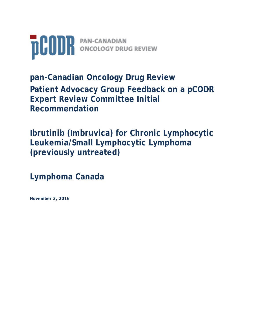

**pan-Canadian Oncology Drug Review Patient Advocacy Group Feedback on a pCODR Expert Review Committee Initial Recommendation** 

**Ibrutinib (Imbruvica) for Chronic Lymphocytic Leukemia/Small Lymphocytic Lymphoma (previously untreated)**

**Lymphoma Canada**

**November 3, 2016**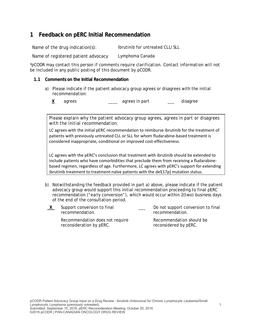## **1 Feedback on pERC Initial Recommendation**

Name of the drug indication(s): Ibrutinib for untreated CLL/SLL

Name of registered patient advocacy Lymphoma Canada

*\*pCODR may contact this person if comments require clarification. Contact information will not be included in any public posting of this document by pCODR.*

## **1.1 Comments on the Initial Recommendation**

- a) Please indicate if the patient advocacy group agrees or disagrees with the initial recommendation:
	- **X** agrees **agrees** agrees in part **agrees** agrees in part **agree**

*Please explain why the patient advocacy group agrees, agrees in part or disagrees with the initial recommendation.* 

LC agrees with the initial pERC recommendation to reimburse ibrutinib for the treatment of patients with previously untreated CLL or SLL for whom fludarabine-based treatment is considered inappropriate, conditional on improved cost-effectiveness.

LC agrees with the pERC's conclusion that treatment with ibrutinib should be extended to include patients who have comorbidities that preclude them from receiving a fludarabinebased regimen, regardless of age. Furthermore, LC agrees with pERC's support for extending ibrutinib treatment to treatment-naïve patients with the del(17p) mutation status.

- b) Notwithstanding the feedback provided in part a) above, please indicate if the patient advocacy group would support this initial recommendation proceeding to final pERC recommendation ("early conversion"), which would occur within 2(two) business days of the end of the consultation period.
- **X** Support conversion to final recommendation. Do not support conversion to final recommendation.

Recommendation does not require reconsideration by pERC.

Recommendation should be reconsidered by pERC.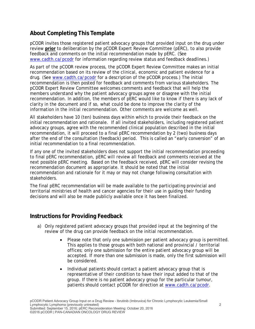## **About Completing This Template**

pCODR invites those registered patient advocacy groups that provided input on the drug under review **prior** to deliberation by the pCODR Expert Review Committee (pERC), to also provide feedback and comments on the initial recommendation made by pERC. (See www.cadth.ca/pcodr for information regarding review status and feedback deadlines.)

As part of the pCODR review process, the pCODR Expert Review Committee makes an initial recommendation based on its review of the clinical, economic and patient evidence for a drug. (See www.cadth.ca/pcodr for a description of the pCODR process.) The initial recommendation is then posted for feedback and comments from various stakeholders. The pCODR Expert Review Committee welcomes comments and feedback that will help the members understand why the patient advocacy groups agree or disagree with the initial recommendation. In addition, the members of pERC would like to know if there is any lack of clarity in the document and if so, what could be done to improve the clarity of the information in the initial recommendation. Other comments are welcome as well.

All stakeholders have 10 (ten) business days within which to provide their feedback on the initial recommendation and rationale. If all invited stakeholders, including registered patient advocacy groups, agree with the recommended clinical population described in the initial recommendation, it will proceed to a final pERC recommendation by 2 (two) business days after the end of the consultation (feedback) period. This is called an "early conversion" of an initial recommendation to a final recommendation.

If any one of the invited stakeholders does not support the initial recommendation proceeding to final pERC recommendation, pERC will review all feedback and comments received at the next possible pERC meeting. Based on the feedback received, pERC will consider revising the recommendation document as appropriate. It should be noted that the initial recommendation and rationale for it may or may not change following consultation with stakeholders.

The final pERC recommendation will be made available to the participating provincial and territorial ministries of health and cancer agencies for their use in guiding their funding decisions and will also be made publicly available once it has been finalized.

## **Instructions for Providing Feedback**

- a) Only registered patient advocacy groups that provided input at the beginning of the review of the drug can provide feedback on the initial recommendation.
	- Please note that only one submission per patient advocacy group is permitted. This applies to those groups with both national and provincial / territorial offices; only one submission for the entire patient advocacy group will be accepted. If more than one submission is made, only the first submission will be considered.
	- Individual patients should contact a patient advocacy group that is representative of their condition to have their input added to that of the group. If there is no patient advocacy group for the particular tumour, patients should contact pCODR for direction at www.cadth.ca/pcodr.